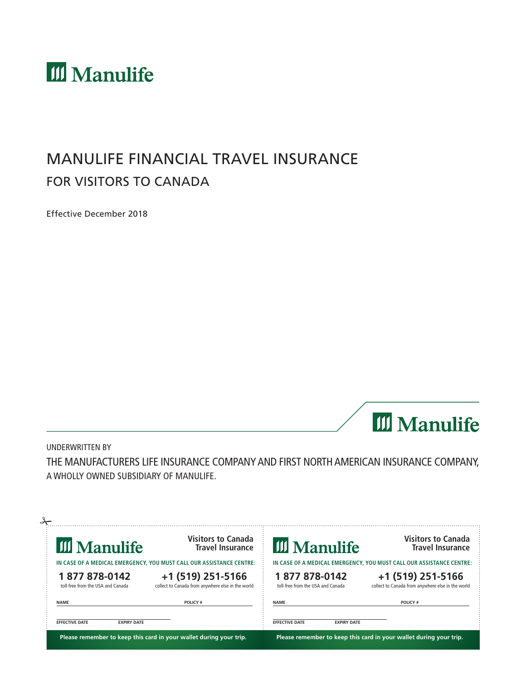

# MANULIFE FINANCIAL TRAVEL INSURANCE FOR VISITORS TO CANADA

Effective December 2018



UNDERWRITTEN BY THE MANUFACTURERS LIFE INSURANCE COMPANY AND FIRST NORTH AMERICAN INSURANCE COMPANY, A WHOLLY OWNED SUBSIDIARY OF MANULIFE.

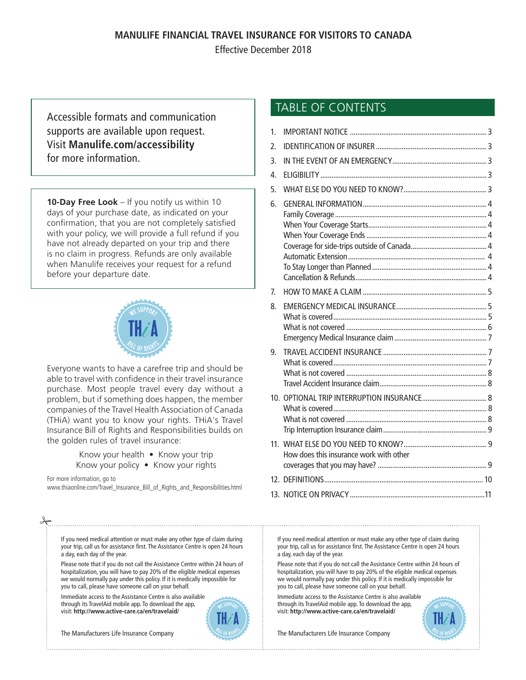### **MANULIFE FINANCIAL TRAVEL INSURANCE FOR VISITORS TO CANADA**

Effective December 2018

Accessible formats and communication supports are available upon request. Visit **[Manulife.com/accessibility](http://www.manulife.com/accessibility)** for more information.

**10-Day Free Look** – If you notify us within 10 days of your purchase date, as indicated on your confirmation, that you are not completely satisfied with your policy, we will provide a full refund if you have not already departed on your trip and there is no claim in progress. Refunds are only available when Manulife receives your request for a refund before your departure date.



Everyone wants to have a carefree trip and should be able to travel with confidence in their travel insurance purchase. Most people travel every day without a problem, but if something does happen, the member companies of the Travel Health Association of Canada (THiA) want you to know your rights. THiA's Travel Insurance Bill of Rights and Responsibilities builds on the golden rules of travel insurance:

> Know your health • Know your trip Know your policy • Know your rights

For more information, go to

a day, each day of the year.

 $\frac{1}{2}$ 

www.thiaonline.com/Travel\_Insurance\_Bill\_of\_Rights\_and\_Responsibilities.html

If you need medical attention or must make any other type of claim during your trip, call us for assistance first. The Assistance Centre is open 24 hours

Please note that if you do not call the Assistance Centre within 24 hours of hospitalization, you will have to pay 20% of the eligible medical expenses we would normally pay under this policy. If it is medically impossible for

# TABLE OF CONTENTS

| 1.             |                                         |  |
|----------------|-----------------------------------------|--|
| 2.             |                                         |  |
| 3.             |                                         |  |
| 4.             |                                         |  |
| 5.             |                                         |  |
| 6.             |                                         |  |
|                |                                         |  |
|                |                                         |  |
|                |                                         |  |
|                |                                         |  |
|                |                                         |  |
|                |                                         |  |
|                |                                         |  |
| 7 <sub>1</sub> |                                         |  |
| 8.             |                                         |  |
|                |                                         |  |
|                |                                         |  |
|                |                                         |  |
| 9.             |                                         |  |
|                |                                         |  |
|                |                                         |  |
|                |                                         |  |
|                |                                         |  |
|                |                                         |  |
|                |                                         |  |
|                |                                         |  |
|                |                                         |  |
|                | How does this insurance work with other |  |
|                |                                         |  |
|                |                                         |  |
|                |                                         |  |

If you need medical attention or must make any other type of claim during your trip, call us for assistance first. The Assistance Centre is open 24 hours a day, each day of the year.

Please note that if you do not call the Assistance Centre within 24 hours of hospitalization, you will have to pay 20% of the eligible medical expenses we would normally pay under this policy. If it is medically impossible for you to call, please have someone call on your behalf.

Immediate access to the Assistance Centre is also available through its TravelAid mobile app. To download the app, visit: **http://www.active-care.ca/en/travelaid/**



you to call, please have someone call on your behalf.

through its TravelAid mobile app. To download the app, visit: **http://www.active-care.ca/en/travelaid/**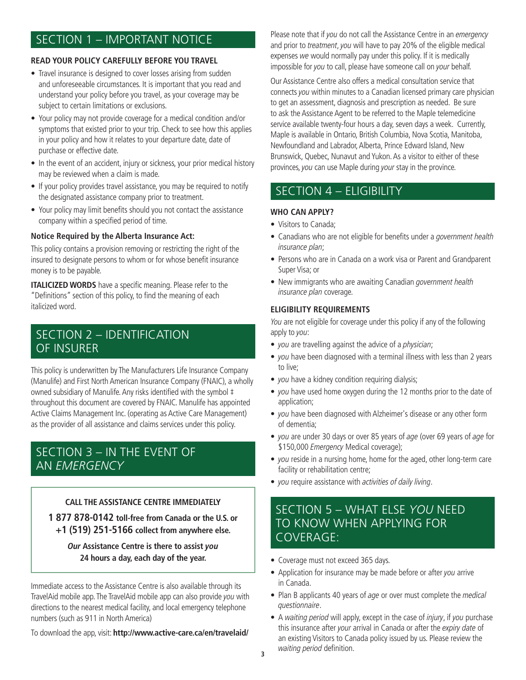# SECTION 1 – IMPORTANT NOTICE

#### **READ YOUR POLICY CAREFULLY BEFORE YOU TRAVEL**

- Travel insurance is designed to cover losses arising from sudden and unforeseeable circumstances. It is important that you read and understand your policy before you travel, as your coverage may be subject to certain limitations or exclusions.
- Your policy may not provide coverage for a medical condition and/or symptoms that existed prior to your trip. Check to see how this applies in your policy and how it relates to your departure date, date of purchase or effective date.
- In the event of an accident, injury or sickness, your prior medical history may be reviewed when a claim is made.
- If your policy provides travel assistance, you may be required to notify the designated assistance company prior to treatment.
- Your policy may limit benefits should you not contact the assistance company within a specified period of time.

### **Notice Required by the Alberta Insurance Act:**

This policy contains a provision removing or restricting the right of the insured to designate persons to whom or for whose benefit insurance money is to be payable.

**ITALICIZED WORDS** have a specific meaning. Please refer to the "Definitions" section of this policy, to find the meaning of each italicized word.

# SECTION 2 – IDENTIFICATION OF INSURER

This policy is underwritten by The Manufacturers Life Insurance Company (Manulife) and First North American Insurance Company (FNAIC), a wholly owned subsidiary of Manulife. Any risks identified with the symbol ‡ throughout this document are covered by FNAIC. Manulife has appointed Active Claims Management Inc. (operating as Active Care Management) as the provider of all assistance and claims services under this policy.

## SECTION 3 – IN THE EVENT OF AN *EMERGENCY*

### **CALL THE ASSISTANCE CENTRE IMMEDIATELY**

**1 877 878-0142 toll-free from Canada or the U.S. or +1 (519) 251-5166 collect from anywhere else.** 

### **Our Assistance Centre is there to assist you 24 hours a day, each day of the year.**

Immediate access to the Assistance Centre is also available through its TravelAid mobile app. The TravelAid mobile app can also provide you with directions to the nearest medical facility, and local emergency telephone numbers (such as 911 in North America)

To download the app, visit: **http://www.active-care.ca/en/travelaid/**

Please note that if you do not call the Assistance Centre in an emergency and prior to treatment, you will have to pay 20% of the eligible medical expenses we would normally pay under this policy. If it is medically impossible for you to call, please have someone call on your behalf.

Our Assistance Centre also offers a medical consultation service that connects you within minutes to a Canadian licensed primary care physician to get an assessment, diagnosis and prescription as needed. Be sure to ask the Assistance Agent to be referred to the Maple telemedicine service available twenty-four hours a day, seven days a week. Currently, Maple is available in Ontario, British Columbia, Nova Scotia, Manitoba, Newfoundland and Labrador, Alberta, Prince Edward Island, New Brunswick, Quebec, Nunavut and Yukon. As a visitor to either of these provinces, you can use Maple during your stay in the province.

# SECTION 4 – ELIGIBILITY

### **WHO CAN APPLY?**

- Visitors to Canada;
- Canadians who are not eligible for benefits under a government health insurance plan;
- Persons who are in Canada on a work visa or Parent and Grandparent Super Visa; or
- New immigrants who are awaiting Canadian government health insurance plan coverage.

### **ELIGIBILITY REQUIREMENTS**

You are not eligible for coverage under this policy if any of the following apply to you:

- you are travelling against the advice of a physician;
- you have been diagnosed with a terminal illness with less than 2 years to live;
- you have a kidney condition requiring dialysis;
- you have used home oxygen during the 12 months prior to the date of application;
- you have been diagnosed with Alzheimer's disease or any other form of dementia;
- you are under 30 days or over 85 years of age (over 69 years of age for \$150,000 Emergency Medical coverage);
- you reside in a nursing home, home for the aged, other long-term care facility or rehabilitation centre;
- you require assistance with activities of daily living.

### SECTION 5 – WHAT ELSE *YOU* NEED TO KNOW WHEN APPLYING FOR COVERAGE:

- Coverage must not exceed 365 days.
- Application for insurance may be made before or after you arrive in Canada.
- Plan B applicants 40 years of age or over must complete the medical questionnaire.
- A waiting period will apply, except in the case of injury, if you purchase this insurance after your arrival in Canada or after the expiry date of an existing Visitors to Canada policy issued by us. Please review the waiting period definition.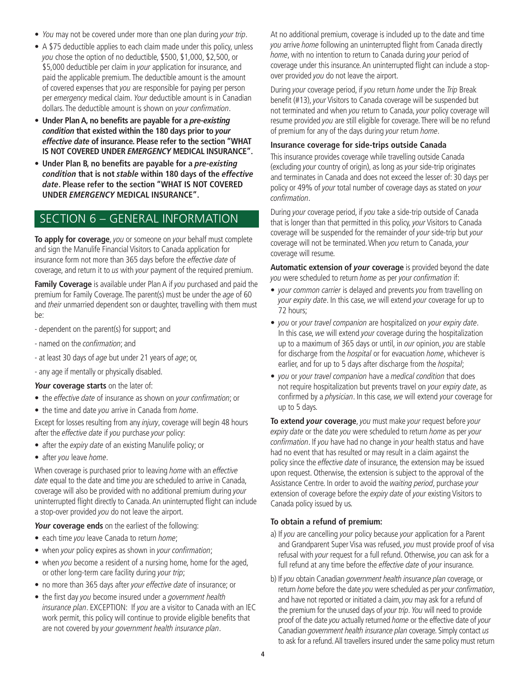- You may not be covered under more than one plan during your trip.
- A \$75 deductible applies to each claim made under this policy, unless you chose the option of no deductible, \$500, \$1,000, \$2,500, or \$5,000 deductible per claim in your application for insurance, and paid the applicable premium. The deductible amount is the amount of covered expenses that you are responsible for paying per person per emergency medical claim. Your deductible amount is in Canadian dollars. The deductible amount is shown on your confirmation.
- **Under Plan A, no benefits are payable for a pre-existing condition that existed within the 180 days prior to your effective date of insurance. Please refer to the section "WHAT IS NOT COVERED UNDER EMERGENCY MEDICAL INSURANCE".**
- **Under Plan B, no benefits are payable for a pre-existing condition that is not stable within 180 days of the effective date. Please refer to the section "WHAT IS NOT COVERED UNDER EMERGENCY MEDICAL INSURANCE".**

### SECTION 6 – GENERAL INFORMATION

**To apply for coverage**, you or someone on your behalf must complete and sign the Manulife Financial Visitors to Canada application for insurance form not more than 365 days before the effective date of coverage, and return it to us with your payment of the required premium.

**Family Coverage** is available under Plan A if you purchased and paid the premium for Family Coverage. The parent(s) must be under the age of 60 and their unmarried dependent son or daughter, travelling with them must be:

- dependent on the parent(s) for support; and
- named on the confirmation; and
- at least 30 days of *age* but under 21 years of *age*; or,
- any age if mentally or physically disabled.

**Your coverage starts** on the later of:

- the effective date of insurance as shown on your confirmation; or
- the time and date you arrive in Canada from home.

Except for losses resulting from any *injury*, coverage will begin 48 hours after the effective date if you purchase your policy:

- after the expiry date of an existing Manulife policy; or
- after you leave home.

When coverage is purchased prior to leaving home with an effective date equal to the date and time you are scheduled to arrive in Canada, coverage will also be provided with no additional premium during your uninterrupted flight directly to Canada. An uninterrupted flight can include a stop-over provided you do not leave the airport.

#### **Your coverage ends** on the earliest of the following:

- each time you leave Canada to return home;
- when your policy expires as shown in your confirmation;
- when you become a resident of a nursing home, home for the aged, or other long-term care facility during your trip;
- no more than 365 days after your effective date of insurance; or
- the first day you become insured under a government health insurance plan. EXCEPTION: If you are a visitor to Canada with an IEC work permit, this policy will continue to provide eligible benefits that are not covered by your government health insurance plan.

At no additional premium, coverage is included up to the date and time you arrive home following an uninterrupted flight from Canada directly home, with no intention to return to Canada during your period of coverage under this insurance. An uninterrupted flight can include a stopover provided you do not leave the airport.

During your coverage period, if you return home under the Trip Break benefit (#13), your Visitors to Canada coverage will be suspended but not terminated and when you return to Canada, your policy coverage will resume provided you are still eligible for coverage. There will be no refund of premium for any of the days during your return home.

#### **Insurance coverage for side-trips outside Canada**

This insurance provides coverage while travelling outside Canada (excluding your country of origin), as long as your side-trip originates and terminates in Canada and does not exceed the lesser of: 30 days per policy or 49% of your total number of coverage days as stated on your confirmation.

During your coverage period, if you take a side-trip outside of Canada that is longer than that permitted in this policy, your Visitors to Canada coverage will be suspended for the remainder of your side-trip but your coverage will not be terminated. When you return to Canada, your coverage will resume.

**Automatic extension of your coverage** is provided beyond the date you were scheduled to return home as per your confirmation if:

- your common carrier is delayed and prevents you from travelling on your expiry date. In this case, we will extend your coverage for up to 72 hours;
- you or your travel companion are hospitalized on your expiry date. In this case, we will extend your coverage during the hospitalization up to a maximum of 365 days or until, in our opinion, you are stable for discharge from the *hospital* or for evacuation home, whichever is earlier, and for up to 5 days after discharge from the *hospital*;
- you or your travel companion have a medical condition that does not require hospitalization but prevents travel on your expiry date, as confirmed by a *physician*. In this case, we will extend your coverage for up to 5 days.

**To extend your coverage**, you must make your request before your expiry date or the date you were scheduled to return home as per your confirmation. If you have had no change in your health status and have had no event that has resulted or may result in a claim against the policy since the effective date of insurance, the extension may be issued upon request. Otherwise, the extension is subject to the approval of the Assistance Centre. In order to avoid the waiting period, purchase your extension of coverage before the expiry date of your existing Visitors to Canada policy issued by us.

#### **To obtain a refund of premium:**

- a) If you are cancelling your policy because your application for a Parent and Grandparent Super Visa was refused, you must provide proof of visa refusal with your request for a full refund. Otherwise, you can ask for a full refund at any time before the effective date of your insurance.
- b) If you obtain Canadian government health insurance plan coverage, or return home before the date you were scheduled as per your confirmation, and have not reported or initiated a claim, you may ask for a refund of the premium for the unused days of your trip. You will need to provide proof of the date you actually returned home or the effective date of your Canadian government health insurance plan coverage. Simply contact us to ask for a refund. All travellers insured under the same policy must return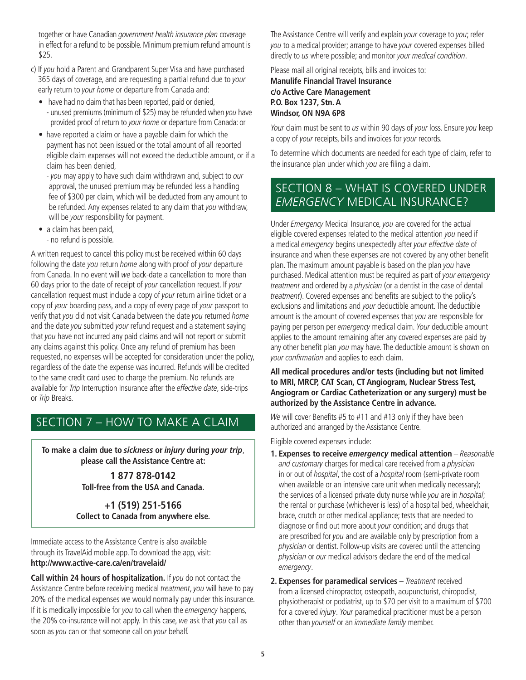together or have Canadian government health insurance plan coverage in effect for a refund to be possible. Minimum premium refund amount is \$25.

- c) If you hold a Parent and Grandparent Super Visa and have purchased 365 days of coverage, and are requesting a partial refund due to your early return to your home or departure from Canada and:
	- have had no claim that has been reported, paid or denied, - unused premiums (minimum of \$25) may be refunded when you have provided proof of return to your home or departure from Canada: or
	- have reported a claim or have a payable claim for which the payment has not been issued or the total amount of all reported eligible claim expenses will not exceed the deductible amount, or if a claim has been denied,
		- you may apply to have such claim withdrawn and, subject to our approval, the unused premium may be refunded less a handling fee of \$300 per claim, which will be deducted from any amount to be refunded. Any expenses related to any claim that you withdraw, will be your responsibility for payment.
	- a claim has been paid, - no refund is possible.

A written request to cancel this policy must be received within 60 days following the date you return home along with proof of your departure from Canada. In no event will we back-date a cancellation to more than 60 days prior to the date of receipt of your cancellation request. If your cancellation request must include a copy of your return airline ticket or a copy of your boarding pass, and a copy of every page of your passport to verify that you did not visit Canada between the date you returned home and the date you submitted your refund request and a statement saying that you have not incurred any paid claims and will not report or submit any claims against this policy. Once any refund of premium has been requested, no expenses will be accepted for consideration under the policy, regardless of the date the expense was incurred. Refunds will be credited to the same credit card used to charge the premium. No refunds are available for *Trip* Interruption Insurance after the *effective date*, side-trips or Trip Breaks.

# SECTION 7 – HOW TO MAKE A CLAIM

**To make a claim due to sickness or injury during your trip**, **please call the Assistance Centre at:**

> **1 877 878-0142 Toll-free from the USA and Canada.**

**+1 (519) 251-5166 Collect to Canada from anywhere else.**

Immediate access to the Assistance Centre is also available through its TravelAid mobile app. To download the app, visit: **http://www.active-care.ca/en/travelaid/**

**Call within 24 hours of hospitalization.** If you do not contact the Assistance Centre before receiving medical treatment, you will have to pay 20% of the medical expenses we would normally pay under this insurance. If it is medically impossible for you to call when the *emergency* happens, the 20% co-insurance will not apply. In this case, we ask that you call as soon as you can or that someone call on your behalf.

The Assistance Centre will verify and explain your coverage to you; refer you to a medical provider; arrange to have your covered expenses billed directly to us where possible; and monitor your medical condition.

Please mail all original receipts, bills and invoices to: **Manulife Financial Travel Insurance c/o Active Care Management P.O. Box 1237, Stn. A**

# **Windsor, ON N9A 6P8**

Your claim must be sent to us within 90 days of your loss. Ensure you keep a copy of your receipts, bills and invoices for your records.

To determine which documents are needed for each type of claim, refer to the insurance plan under which you are filing a claim.

## SECTION 8 – WHAT IS COVERED UNDER *EMERGENCY* MEDICAL INSURANCE?

Under Emergency Medical Insurance, you are covered for the actual eligible covered expenses related to the medical attention you need if a medical emergency begins unexpectedly after your effective date of insurance and when these expenses are not covered by any other benefit plan. The maximum amount payable is based on the plan you have purchased. Medical attention must be required as part of your emergency treatment and ordered by a physician (or a dentist in the case of dental treatment). Covered expenses and benefits are subject to the policy's exclusions and limitations and your deductible amount. The deductible amount is the amount of covered expenses that you are responsible for paying per person per emergency medical claim. Your deductible amount applies to the amount remaining after any covered expenses are paid by any other benefit plan you may have. The deductible amount is shown on your confirmation and applies to each claim.

#### **All medical procedures and/or tests (including but not limited to MRI, MRCP, CAT Scan, CT Angiogram, Nuclear Stress Test, Angiogram or Cardiac Catheterization or any surgery) must be authorized by the Assistance Centre in advance.**

We will cover Benefits #5 to #11 and #13 only if they have been authorized and arranged by the Assistance Centre.

Eligible covered expenses include:

- **1. Expenses to receive emergency medical attention** Reasonable and customary charges for medical care received from a physician in or out of *hospital*, the cost of a *hospital* room (semi-private room when available or an intensive care unit when medically necessary); the services of a licensed private duty nurse while you are in hospital; the rental or purchase (whichever is less) of a hospital bed, wheelchair, brace, crutch or other medical appliance; tests that are needed to diagnose or find out more about your condition; and drugs that are prescribed for you and are available only by prescription from a physician or dentist. Follow-up visits are covered until the attending physician or our medical advisors declare the end of the medical emergency.
- **2. Expenses for paramedical services** Treatment received from a licensed chiropractor, osteopath, acupuncturist, chiropodist, physiotherapist or podiatrist, up to \$70 per visit to a maximum of \$700 for a covered injury. Your paramedical practitioner must be a person other than yourself or an immediate family member.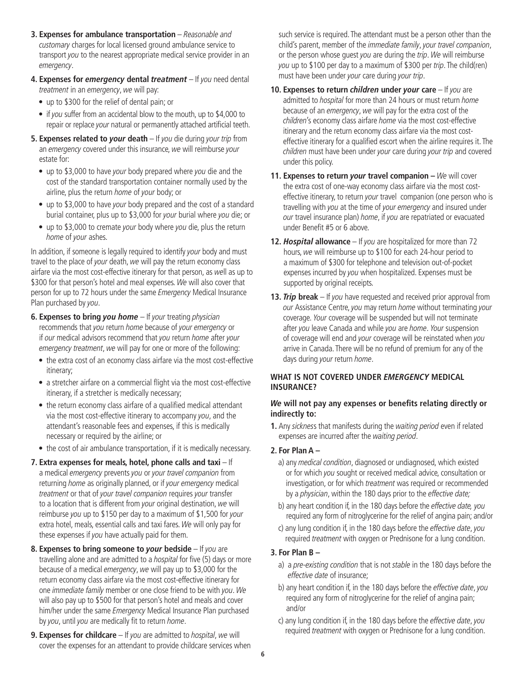- **3. Expenses for ambulance transportation** Reasonable and customary charges for local licensed ground ambulance service to transport you to the nearest appropriate medical service provider in an emergency.
- **4. Expenses for emergency dental treatment** If you need dental treatment in an emergency, we will pay:
	- up to \$300 for the relief of dental pain; or
	- if you suffer from an accidental blow to the mouth, up to \$4,000 to repair or replace your natural or permanently attached artificial teeth.
- **5. Expenses related to your death** If you die during your trip from an emergency covered under this insurance, we will reimburse your estate for:
	- up to \$3,000 to have your body prepared where you die and the cost of the standard transportation container normally used by the airline, plus the return home of your body; or
	- up to \$3,000 to have your body prepared and the cost of a standard burial container, plus up to \$3,000 for your burial where you die; or
	- up to \$3,000 to cremate your body where you die, plus the return home of your ashes.

In addition, if someone is legally required to identify your body and must travel to the place of your death, we will pay the return economy class airfare via the most cost-effective itinerary for that person, as well as up to \$300 for that person's hotel and meal expenses. We will also cover that person for up to 72 hours under the same Emergency Medical Insurance Plan purchased by you.

- **6. Expenses to bring you home** If your treating physician recommends that you return home because of your emergency or if our medical advisors recommend that you return home after your emergency treatment, we will pay for one or more of the following:
	- the extra cost of an economy class airfare via the most cost-effective itinerary;
	- a stretcher airfare on a commercial flight via the most cost-effective itinerary, if a stretcher is medically necessary;
	- the return economy class airfare of a qualified medical attendant via the most cost-effective itinerary to accompany you, and the attendant's reasonable fees and expenses, if this is medically necessary or required by the airline; or
	- the cost of air ambulance transportation, if it is medically necessary.
- **7. Extra expenses for meals, hotel, phone calls and taxi** If a medical emergency prevents you or your travel companion from returning *home* as originally planned, or if your emergency medical treatment or that of your travel companion requires your transfer to a location that is different from your original destination, we will reimburse you up to \$150 per day to a maximum of \$1,500 for your extra hotel, meals, essential calls and taxi fares. We will only pay for these expenses if you have actually paid for them.
- **8. Expenses to bring someone to your bedside** If you are travelling alone and are admitted to a hospital for five (5) days or more because of a medical emergency, we will pay up to \$3,000 for the return economy class airfare via the most cost-effective itinerary for one immediate family member or one close friend to be with you. We will also pay up to \$500 for that person's hotel and meals and cover him/her under the same *Emergency* Medical Insurance Plan purchased by you, until you are medically fit to return home.
- **9. Expenses for childcare** If you are admitted to *hospital*, we will cover the expenses for an attendant to provide childcare services when

such service is required. The attendant must be a person other than the child's parent, member of the immediate family, your travel companion, or the person whose guest you are during the trip. We will reimburse you up to \$100 per day to a maximum of \$300 per trip. The child(ren) must have been under your care during your trip.

- **10. Expenses to return children under your care** If you are admitted to *hospital* for more than 24 hours or must return *home* because of an emergency, we will pay for the extra cost of the children's economy class airfare home via the most cost-effective itinerary and the return economy class airfare via the most costeffective itinerary for a qualified escort when the airline requires it. The children must have been under your care during your trip and covered under this policy.
- **11. Expenses to return** *your* **travel companion –** We will cover the extra cost of one-way economy class airfare via the most costeffective itinerary, to return your travel companion (one person who is travelling with you at the time of your emergency and insured under our travel insurance plan) home, if you are repatriated or evacuated under Benefit #5 or 6 above.
- **12. Hospital allowance** If you are hospitalized for more than 72 hours, we will reimburse up to \$100 for each 24-hour period to a maximum of \$300 for telephone and television out-of-pocket expenses incurred by you when hospitalized. Expenses must be supported by original receipts.
- **13. Trip break** If you have requested and received prior approval from our Assistance Centre, you may return home without terminating your coverage. Your coverage will be suspended but will not terminate after you leave Canada and while you are home. Your suspension of coverage will end and your coverage will be reinstated when you arrive in Canada. There will be no refund of premium for any of the days during your return home.

### **WHAT IS NOT COVERED UNDER EMERGENCY MEDICAL INSURANCE?**

### **We will not pay any expenses or benefits relating directly or indirectly to:**

**1.** Any sickness that manifests during the waiting period even if related expenses are incurred after the waiting period.

### **2. For Plan A –**

- a) any medical condition, diagnosed or undiagnosed, which existed or for which you sought or received medical advice, consultation or investigation, or for which treatment was required or recommended by a *physician*, within the 180 days prior to the effective date;
- b) any heart condition if, in the 180 days before the effective date, you required any form of nitroglycerine for the relief of angina pain; and/or
- c) any lung condition if, in the 180 days before the effective date, you required treatment with oxygen or Prednisone for a lung condition.

### **3. For Plan B –**

- a) a pre-existing condition that is not stable in the 180 days before the effective date of insurance;
- b) any heart condition if, in the 180 days before the effective date, you required any form of nitroglycerine for the relief of angina pain; and/or
- c) any lung condition if, in the 180 days before the effective date, you required treatment with oxygen or Prednisone for a lung condition.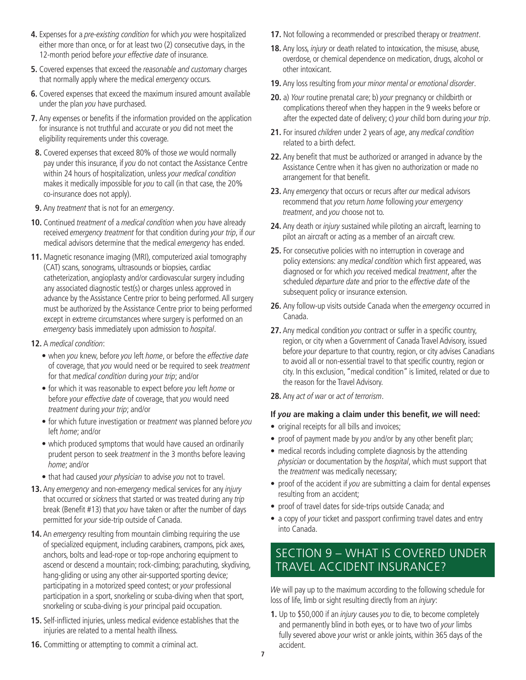- **4.** Expenses for a pre-existing condition for which you were hospitalized either more than once, or for at least two (2) consecutive days, in the 12-month period before your effective date of insurance.
- **5.** Covered expenses that exceed the reasonable and customary charges that normally apply where the medical emergency occurs.
- **6.** Covered expenses that exceed the maximum insured amount available under the plan you have purchased.
- **7.** Any expenses or benefits if the information provided on the application for insurance is not truthful and accurate or you did not meet the eligibility requirements under this coverage.
- **8.** Covered expenses that exceed 80% of those we would normally pay under this insurance, if you do not contact the Assistance Centre within 24 hours of hospitalization, unless your medical condition makes it medically impossible for you to call (in that case, the 20% co-insurance does not apply).
- **9.** Any *treatment* that is not for an emergency.
- **10.** Continued treatment of a medical condition when you have already received emergency treatment for that condition during your trip, if our medical advisors determine that the medical emergency has ended.
- **11.** Magnetic resonance imaging (MRI), computerized axial tomography (CAT) scans, sonograms, ultrasounds or biopsies, cardiac catheterization, angioplasty and/or cardiovascular surgery including any associated diagnostic test(s) or charges unless approved in advance by the Assistance Centre prior to being performed. All surgery must be authorized by the Assistance Centre prior to being performed except in extreme circumstances where surgery is performed on an emergency basis immediately upon admission to hospital.
- **12.** A medical condition:
	- when you knew, before you left home, or before the effective date of coverage, that you would need or be required to seek treatment for that medical condition during your trip; and/or
	- for which it was reasonable to expect before you left home or before your effective date of coverage, that you would need treatment during your trip; and/or
	- for which future investigation or *treatment* was planned before you left home; and/or
	- which produced symptoms that would have caused an ordinarily prudent person to seek treatment in the 3 months before leaving home; and/or
	- that had caused your physician to advise you not to travel.
- **13.** Any emergency and non-emergency medical services for any *injury* that occurred or sickness that started or was treated during any trip break (Benefit #13) that you have taken or after the number of days permitted for your side-trip outside of Canada.
- 14. An emergency resulting from mountain climbing requiring the use of specialized equipment, including carabiners, crampons, pick axes, anchors, bolts and lead-rope or top-rope anchoring equipment to ascend or descend a mountain; rock-climbing; parachuting, skydiving, hang-gliding or using any other air-supported sporting device; participating in a motorized speed contest; or your professional participation in a sport, snorkeling or scuba-diving when that sport, snorkeling or scuba-diving is your principal paid occupation.
- **15.** Self-inflicted injuries, unless medical evidence establishes that the injuries are related to a mental health illness.
- **17.** Not following a recommended or prescribed therapy or *treatment*.
- **18.** Any loss, injury or death related to intoxication, the misuse, abuse, overdose, or chemical dependence on medication, drugs, alcohol or other intoxicant.
- **19.** Any loss resulting from your minor mental or emotional disorder.
- **20.** a) Your routine prenatal care; b) your pregnancy or childbirth or complications thereof when they happen in the 9 weeks before or after the expected date of delivery; c) your child born during your trip.
- **21.** For insured children under 2 years of age, any medical condition related to a birth defect.
- **22.** Any benefit that must be authorized or arranged in advance by the Assistance Centre when it has given no authorization or made no arrangement for that benefit.
- 23. Any emergency that occurs or recurs after our medical advisors recommend that you return home following your emergency treatment, and you choose not to.
- 24. Any death or *injury* sustained while piloting an aircraft, learning to pilot an aircraft or acting as a member of an aircraft crew.
- **25.** For consecutive policies with no interruption in coverage and policy extensions: any medical condition which first appeared, was diagnosed or for which you received medical treatment, after the scheduled *departure date* and prior to the *effective date* of the subsequent policy or insurance extension.
- 26. Any follow-up visits outside Canada when the emergency occurred in Canada.
- **27.** Any medical condition you contract or suffer in a specific country, region, or city when a Government of Canada Travel Advisory, issued before your departure to that country, region, or city advises Canadians to avoid all or non-essential travel to that specific country, region or city. In this exclusion, "medical condition" is limited, related or due to the reason for the Travel Advisory.
- **28.** Any act of war or act of terrorism.

#### **If you are making a claim under this benefit, we will need:**

- original receipts for all bills and invoices;
- proof of payment made by you and/or by any other benefit plan;
- medical records including complete diagnosis by the attending physician or documentation by the hospital, which must support that the treatment was medically necessary;
- proof of the accident if you are submitting a claim for dental expenses resulting from an accident;
- proof of travel dates for side-trips outside Canada; and
- a copy of your ticket and passport confirming travel dates and entry into Canada.

### SECTION 9 – WHAT IS COVERED UNDER TRAVEL ACCIDENT INSURANCE?

We will pay up to the maximum according to the following schedule for loss of life, limb or sight resulting directly from an *injury*:

**1.** Up to \$50,000 if an injury causes you to die, to become completely and permanently blind in both eyes, or to have two of your limbs fully severed above your wrist or ankle joints, within 365 days of the accident.

**16.** Committing or attempting to commit a criminal act.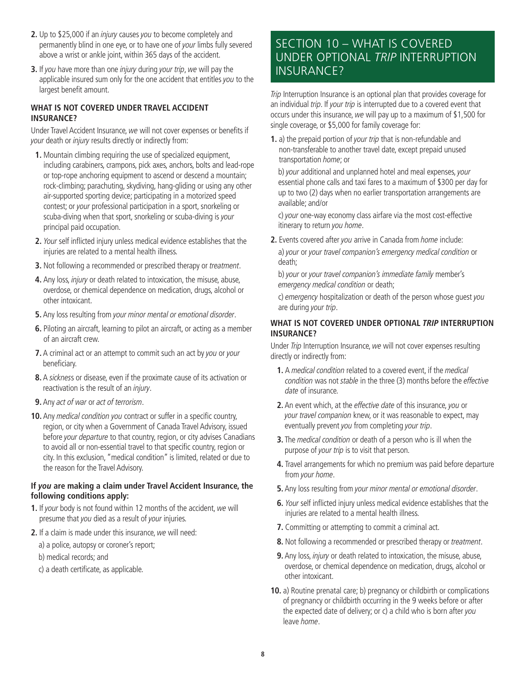- **2.** Up to \$25,000 if an injury causes you to become completely and permanently blind in one eye, or to have one of your limbs fully severed above a wrist or ankle joint, within 365 days of the accident.
- **3.** If you have more than one injury during your trip, we will pay the applicable insured sum only for the one accident that entitles you to the largest benefit amount.

#### WHAT IS NOT COVERED UNDER TRAVEL ACCIDENT **INSURANCE?**

Under Travel Accident Insurance, we will not cover expenses or benefits if your death or *injury* results directly or indirectly from:

- **1.** Mountain climbing requiring the use of specialized equipment, including carabiners, crampons, pick axes, anchors, bolts and lead-rope or top-rope anchoring equipment to ascend or descend a mountain; rock-climbing; parachuting, skydiving, hang-gliding or using any other air-supported sporting device; participating in a motorized speed contest; or your professional participation in a sport, snorkeling or scuba-diving when that sport, snorkeling or scuba-diving is your principal paid occupation.
- **2.** Your self inflicted injury unless medical evidence establishes that the injuries are related to a mental health illness.
- **3.** Not following a recommended or prescribed therapy or *treatment*.
- **4.** Any loss, injury or death related to intoxication, the misuse, abuse, overdose, or chemical dependence on medication, drugs, alcohol or other intoxicant.
- **5.** Any loss resulting from your minor mental or emotional disorder.
- **6.** Piloting an aircraft, learning to pilot an aircraft, or acting as a member of an aircraft crew.
- **7.** A criminal act or an attempt to commit such an act by you or your beneficiary.
- **8.** A sickness or disease, even if the proximate cause of its activation or reactivation is the result of an *injury*.
- **9.** Any act of war or act of terrorism.
- **10.** Any medical condition you contract or suffer in a specific country, region, or city when a Government of Canada Travel Advisory, issued before your departure to that country, region, or city advises Canadians to avoid all or non-essential travel to that specific country, region or city. In this exclusion, "medical condition" is limited, related or due to the reason for the Travel Advisory.

#### **If you are making a claim under Travel Accident Insurance, the following conditions apply:**

- **1.** If your body is not found within 12 months of the accident, we will presume that you died as a result of your injuries.
- **2.** If a claim is made under this insurance, we will need:
	- a) a police, autopsy or coroner's report;
	- b) medical records; and
	- c) a death certificate, as applicable.

### SECTION 10 – WHAT IS COVERED UNDER OPTIONAL *TRIP* INTERRUPTION INSURANCE?

Trip Interruption Insurance is an optional plan that provides coverage for an individual trip. If your trip is interrupted due to a covered event that occurs under this insurance, we will pay up to a maximum of \$1,500 for single coverage, or \$5,000 for family coverage for:

**1.** a) the prepaid portion of your trip that is non-refundable and non-transferable to another travel date, except prepaid unused transportation home; or

b) your additional and unplanned hotel and meal expenses, your essential phone calls and taxi fares to a maximum of \$300 per day for up to two (2) days when no earlier transportation arrangements are available; and/or

c) your one-way economy class airfare via the most cost-effective itinerary to return you home.

**2.** Events covered after you arrive in Canada from home include:

a) your or your travel companion's emergency medical condition or death;

b) your or your travel companion's immediate family member's emergency medical condition or death;

c) emergency hospitalization or death of the person whose guest you are during your trip.

### **WHAT IS NOT COVERED UNDER OPTIONAL TRIP INTERRUPTION INSURANCE?**

Under Trip Interruption Insurance, we will not cover expenses resulting directly or indirectly from:

- **1.** A medical condition related to a covered event, if the medical condition was not stable in the three (3) months before the effective date of insurance.
- **2.** An event which, at the effective date of this insurance, you or your travel companion knew, or it was reasonable to expect, may eventually prevent you from completing your trip.
- **3.** The medical condition or death of a person who is ill when the purpose of your trip is to visit that person.
- **4.** Travel arrangements for which no premium was paid before departure from your home.
- **5.** Any loss resulting from your minor mental or emotional disorder.
- **6.** Your self inflicted injury unless medical evidence establishes that the injuries are related to a mental health illness.
- **7.** Committing or attempting to commit a criminal act.
- **8.** Not following a recommended or prescribed therapy or treatment.
- **9.** Any loss, injury or death related to intoxication, the misuse, abuse, overdose, or chemical dependence on medication, drugs, alcohol or other intoxicant.
- **10.** a) Routine prenatal care; b) pregnancy or childbirth or complications of pregnancy or childbirth occurring in the 9 weeks before or after the expected date of delivery; or c) a child who is born after you leave home.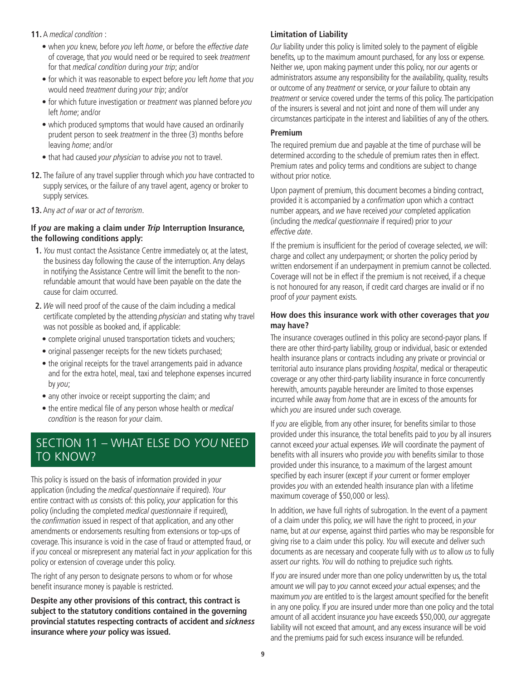- **11.** A medical condition :
	- when you knew, before you left home, or before the effective date of coverage, that you would need or be required to seek treatment for that medical condition during your trip; and/or
	- for which it was reasonable to expect before you left home that you would need treatment during your trip; and/or
	- for which future investigation or treatment was planned before you left home; and/or
	- which produced symptoms that would have caused an ordinarily prudent person to seek treatment in the three (3) months before leaving home; and/or
	- that had caused your physician to advise you not to travel.
- **12.** The failure of any travel supplier through which you have contracted to supply services, or the failure of any travel agent, agency or broker to supply services.
- **13.** Any act of war or act of terrorism.

#### **If you are making a claim under Trip Interruption Insurance, the following conditions apply:**

- **1.** You must contact the Assistance Centre immediately or, at the latest, the business day following the cause of the interruption. Any delays in notifying the Assistance Centre will limit the benefit to the nonrefundable amount that would have been payable on the date the cause for claim occurred.
- **2.** We will need proof of the cause of the claim including a medical certificate completed by the attending physician and stating why travel was not possible as booked and, if applicable:
	- complete original unused transportation tickets and vouchers;
	- original passenger receipts for the new tickets purchased;
	- the original receipts for the travel arrangements paid in advance and for the extra hotel, meal, taxi and telephone expenses incurred by you;
	- any other invoice or receipt supporting the claim; and
	- the entire medical file of any person whose health or *medical* condition is the reason for your claim.

# SECTION 11 – WHAT ELSE DO *YOU* NEED TO KNOW?

This policy is issued on the basis of information provided in your application (including the medical questionnaire if required). Your entire contract with us consists of: this policy, your application for this policy (including the completed medical questionnaire if required), the confirmation issued in respect of that application, and any other amendments or endorsements resulting from extensions or top-ups of coverage. This insurance is void in the case of fraud or attempted fraud, or if you conceal or misrepresent any material fact in your application for this policy or extension of coverage under this policy.

The right of any person to designate persons to whom or for whose benefit insurance money is payable is restricted.

**Despite any other provisions of this contract, this contract is subject to the statutory conditions contained in the governing provincial statutes respecting contracts of accident and sickness insurance where your policy was issued.**

#### **Limitation of Liability**

Our liability under this policy is limited solely to the payment of eligible benefits, up to the maximum amount purchased, for any loss or expense. Neither we, upon making payment under this policy, nor our agents or administrators assume any responsibility for the availability, quality, results or outcome of any *treatment* or service, or your failure to obtain any treatment or service covered under the terms of this policy. The participation of the insurers is several and not joint and none of them will under any circumstances participate in the interest and liabilities of any of the others.

#### **Premium**

The required premium due and payable at the time of purchase will be determined according to the schedule of premium rates then in effect. Premium rates and policy terms and conditions are subject to change without prior notice.

Upon payment of premium, this document becomes a binding contract, provided it is accompanied by a confirmation upon which a contract number appears, and we have received your completed application (including the medical questionnaire if required) prior to your effective date.

If the premium is insufficient for the period of coverage selected, we will: charge and collect any underpayment; or shorten the policy period by written endorsement if an underpayment in premium cannot be collected. Coverage will not be in effect if the premium is not received, if a cheque is not honoured for any reason, if credit card charges are invalid or if no proof of your payment exists.

#### **How does this insurance work with other coverages that you may have?**

The insurance coverages outlined in this policy are second-payor plans. If there are other third-party liability, group or individual, basic or extended health insurance plans or contracts including any private or provincial or territorial auto insurance plans providing hospital, medical or therapeutic coverage or any other third-party liability insurance in force concurrently herewith, amounts payable hereunder are limited to those expenses incurred while away from home that are in excess of the amounts for which you are insured under such coverage.

If you are eligible, from any other insurer, for benefits similar to those provided under this insurance, the total benefits paid to you by all insurers cannot exceed your actual expenses. We will coordinate the payment of benefits with all insurers who provide you with benefits similar to those provided under this insurance, to a maximum of the largest amount specified by each insurer (except if your current or former employer provides you with an extended health insurance plan with a lifetime maximum coverage of \$50,000 or less).

In addition, we have full rights of subrogation. In the event of a payment of a claim under this policy, we will have the right to proceed, in your name, but at our expense, against third parties who may be responsible for giving rise to a claim under this policy. You will execute and deliver such documents as are necessary and cooperate fully with us to allow us to fully assert our rights. You will do nothing to prejudice such rights.

If you are insured under more than one policy underwritten by us, the total amount we will pay to you cannot exceed your actual expenses; and the maximum you are entitled to is the largest amount specified for the benefit in any one policy. If you are insured under more than one policy and the total amount of all accident insurance you have exceeds \$50,000, our aggregate liability will not exceed that amount, and any excess insurance will be void and the premiums paid for such excess insurance will be refunded.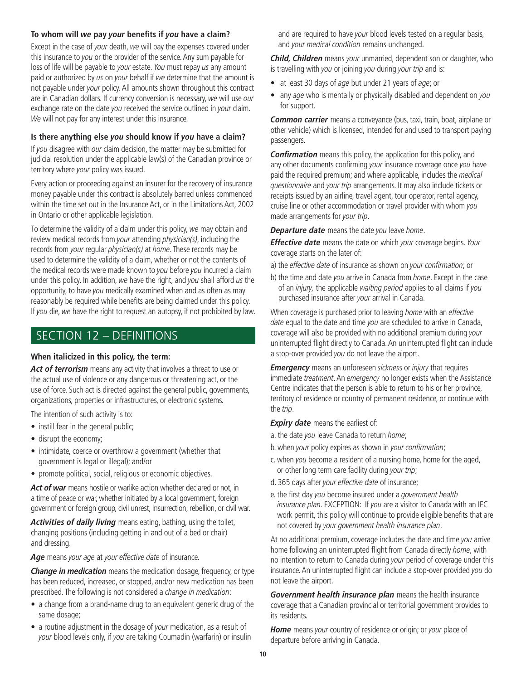#### **To whom will we pay your benefits if you have a claim?**

Except in the case of your death, we will pay the expenses covered under this insurance to you or the provider of the service. Any sum payable for loss of life will be payable to your estate. You must repay us any amount paid or authorized by us on your behalf if we determine that the amount is not payable under your policy. All amounts shown throughout this contract are in Canadian dollars. If currency conversion is necessary, we will use our exchange rate on the date you received the service outlined in your claim. We will not pay for any interest under this insurance.

#### **Is there anything else you should know if you have a claim?**

If you disagree with our claim decision, the matter may be submitted for judicial resolution under the applicable law(s) of the Canadian province or territory where your policy was issued.

Every action or proceeding against an insurer for the recovery of insurance money payable under this contract is absolutely barred unless commenced within the time set out in the Insurance Act, or in the Limitations Act, 2002 in Ontario or other applicable legislation.

To determine the validity of a claim under this policy, we may obtain and review medical records from your attending physician(s), including the records from your regular physician(s) at home. These records may be used to determine the validity of a claim, whether or not the contents of the medical records were made known to you before you incurred a claim under this policy. In addition, we have the right, and you shall afford us the opportunity, to have you medically examined when and as often as may reasonably be required while benefits are being claimed under this policy. If you die, we have the right to request an autopsy, if not prohibited by law.

### SECTION 12 – DEFINITIONS

#### **When italicized in this policy, the term:**

Act of terrorism means any activity that involves a threat to use or the actual use of violence or any dangerous or threatening act, or the use of force. Such act is directed against the general public, governments, organizations, properties or infrastructures, or electronic systems.

The intention of such activity is to:

- instill fear in the general public;
- disrupt the economy;
- intimidate, coerce or overthrow a government (whether that government is legal or illegal); and/or
- promote political, social, religious or economic objectives.

Act of war means hostile or warlike action whether declared or not, in a time of peace or war, whether initiated by a local government, foreign government or foreign group, civil unrest, insurrection, rebellion, or civil war.

**Activities of daily living** means eating, bathing, using the toilet, changing positions (including getting in and out of a bed or chair) and dressing.

Age means your age at your effective date of insurance.

**Change in medication** means the medication dosage, frequency, or type has been reduced, increased, or stopped, and/or new medication has been prescribed. The following is not considered a change in medication:

- a change from a brand-name drug to an equivalent generic drug of the same dosage;
- a routine adjustment in the dosage of your medication, as a result of your blood levels only, if you are taking Coumadin (warfarin) or insulin

and are required to have your blood levels tested on a regular basis, and your medical condition remains unchanged.

**Child, Children** means your unmarried, dependent son or daughter, who is travelling with you or joining you during your trip and is:

- at least 30 days of age but under 21 years of age; or
- any age who is mentally or physically disabled and dependent on you for support.

**Common carrier** means a conveyance (bus, taxi, train, boat, airplane or other vehicle) which is licensed, intended for and used to transport paying passengers.

**Confirmation** means this policy, the application for this policy, and any other documents confirming your insurance coverage once you have paid the required premium; and where applicable, includes the medical questionnaire and your trip arrangements. It may also include tickets or receipts issued by an airline, travel agent, tour operator, rental agency, cruise line or other accommodation or travel provider with whom you made arrangements for your trip.

**Departure date** means the date you leave home.

**Effective date** means the date on which your coverage begins. Your coverage starts on the later of:

- a) the effective date of insurance as shown on your confirmation; or
- b) the time and date you arrive in Canada from home. Except in the case of an *injury*, the applicable waiting period applies to all claims if you purchased insurance after your arrival in Canada.

When coverage is purchased prior to leaving home with an effective date equal to the date and time you are scheduled to arrive in Canada, coverage will also be provided with no additional premium during your uninterrupted flight directly to Canada. An uninterrupted flight can include a stop-over provided you do not leave the airport.

**Emergency** means an unforeseen sickness or injury that requires immediate treatment. An emergency no longer exists when the Assistance Centre indicates that the person is able to return to his or her province, territory of residence or country of permanent residence, or continue with the trip.

#### **Expiry date** means the earliest of:

- a. the date you leave Canada to return home;
- b. when your policy expires as shown in your confirmation;
- c. when you become a resident of a nursing home, home for the aged, or other long term care facility during your trip;
- d. 365 days after your effective date of insurance;
- e. the first day you become insured under a government health insurance plan. EXCEPTION: If you are a visitor to Canada with an IEC work permit, this policy will continue to provide eligible benefits that are not covered by your government health insurance plan.

At no additional premium, coverage includes the date and time you arrive home following an uninterrupted flight from Canada directly home, with no intention to return to Canada during your period of coverage under this insurance. An uninterrupted flight can include a stop-over provided you do not leave the airport.

**Government health insurance plan** means the health insurance coverage that a Canadian provincial or territorial government provides to its residents.

**Home** means your country of residence or origin; or your place of departure before arriving in Canada.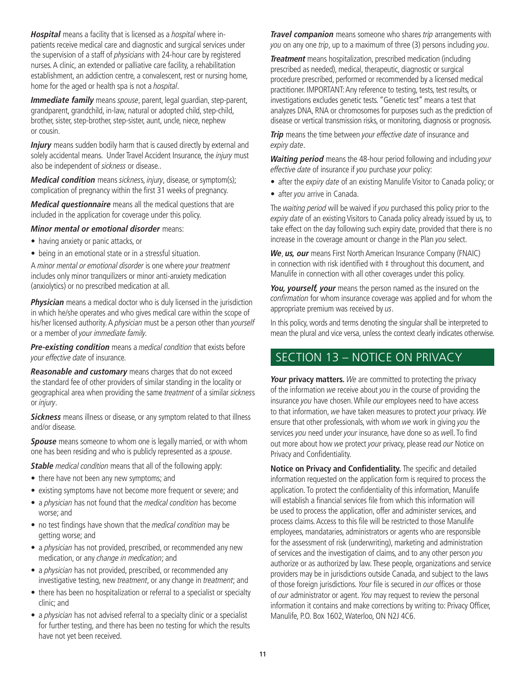**Hospital** means a facility that is licensed as a hospital where inpatients receive medical care and diagnostic and surgical services under the supervision of a staff of physicians with 24-hour care by registered nurses. A clinic, an extended or palliative care facility, a rehabilitation establishment, an addiction centre, a convalescent, rest or nursing home, home for the aged or health spa is not a hospital.

**Immediate family** means spouse, parent, legal quardian, step-parent, grandparent, grandchild, in-law, natural or adopted child, step-child, brother, sister, step-brother, step-sister, aunt, uncle, niece, nephew or cousin.

**Injury** means sudden bodily harm that is caused directly by external and solely accidental means. Under Travel Accident Insurance, the injury must also be independent of sickness or disease..

**Medical condition** means sickness, injury, disease, or symptom(s); complication of pregnancy within the first 31 weeks of pregnancy.

**Medical questionnaire** means all the medical questions that are included in the application for coverage under this policy.

**Minor mental or emotional disorder** means:

- having anxiety or panic attacks, or
- being in an emotional state or in a stressful situation.

A minor mental or emotional disorder is one where your treatment includes only minor tranquilizers or minor anti-anxiety medication (anxiolytics) or no prescribed medication at all.

**Physician** means a medical doctor who is duly licensed in the jurisdiction in which he/she operates and who gives medical care within the scope of his/her licensed authority. A physician must be a person other than yourself or a member of your immediate family.

**Pre-existing condition** means a medical condition that exists before your effective date of insurance.

**Reasonable and customary** means charges that do not exceed the standard fee of other providers of similar standing in the locality or geographical area when providing the same treatment of a similar sickness or injury.

**Sickness** means illness or disease, or any symptom related to that illness and/or disease.

**Spouse** means someone to whom one is legally married, or with whom one has been residing and who is publicly represented as a spouse.

**Stable** medical condition means that all of the following apply:

- there have not been any new symptoms; and
- existing symptoms have not become more frequent or severe; and
- a *physician* has not found that the *medical condition* has become worse; and
- no test findings have shown that the *medical condition* may be getting worse; and
- a *physician* has not provided, prescribed, or recommended any new medication, or any change in medication; and
- a *physician* has not provided, prescribed, or recommended any investigative testing, new treatment, or any change in treatment; and
- there has been no hospitalization or referral to a specialist or specialty clinic; and
- a *physician* has not advised referral to a specialty clinic or a specialist for further testing, and there has been no testing for which the results have not yet been received.

**Travel companion** means someone who shares trip arrangements with you on any one trip, up to a maximum of three (3) persons including you.

**Treatment** means hospitalization, prescribed medication (including prescribed as needed), medical, therapeutic, diagnostic or surgical procedure prescribed, performed or recommended by a licensed medical practitioner. IMPORTANT: Any reference to testing, tests, test results, or investigations excludes genetic tests. "Genetic test" means a test that analyzes DNA, RNA or chromosomes for purposes such as the prediction of disease or vertical transmission risks, or monitoring, diagnosis or prognosis.

**Trip** means the time between your effective date of insurance and expiry date.

**Waiting period** means the 48-hour period following and including your effective date of insurance if you purchase your policy:

- after the expiry date of an existing Manulife Visitor to Canada policy; or
- after you arrive in Canada.

The waiting period will be waived if you purchased this policy prior to the expiry date of an existing Visitors to Canada policy already issued by us, to take effect on the day following such expiry date, provided that there is no increase in the coverage amount or change in the Plan you select.

**We**, **us, our** means First North American Insurance Company (FNAIC) in connection with risk identified with  $\ddagger$  throughout this document, and Manulife in connection with all other coverages under this policy.

You, yourself, your means the person named as the insured on the confirmation for whom insurance coverage was applied and for whom the appropriate premium was received by us.

In this policy, words and terms denoting the singular shall be interpreted to mean the plural and vice versa, unless the context clearly indicates otherwise.

# SECTION 13 – NOTICE ON PRIVACY

**Your privacy matters.** We are committed to protecting the privacy of the information we receive about you in the course of providing the insurance you have chosen. While our employees need to have access to that information, we have taken measures to protect your privacy. We ensure that other professionals, with whom we work in giving you the services you need under your insurance, have done so as well. To find out more about how we protect your privacy, please read our Notice on Privacy and Confidentiality.

**Notice on Privacy and Confidentiality.** The specific and detailed information requested on the application form is required to process the application. To protect the confidentiality of this information, Manulife will establish a financial services file from which this information will be used to process the application, offer and administer services, and process claims. Access to this file will be restricted to those Manulife employees, mandataries, administrators or agents who are responsible for the assessment of risk (underwriting), marketing and administration of services and the investigation of claims, and to any other person you authorize or as authorized by law. These people, organizations and service providers may be in jurisdictions outside Canada, and subject to the laws of those foreign jurisdictions. Your file is secured in our offices or those of our administrator or agent. You may request to review the personal information it contains and make corrections by writing to: Privacy Officer, Manulife, P.O. Box 1602, Waterloo, ON N2J 4C6.